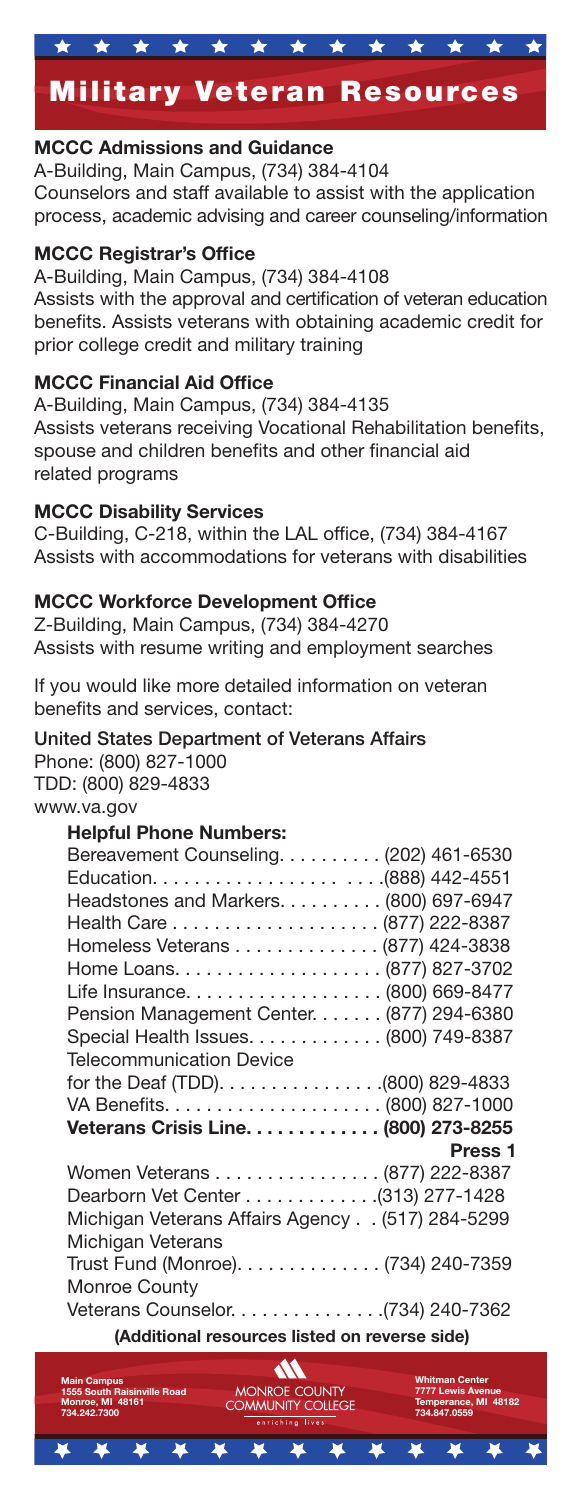# Military Veteran Resources

#### MCCC Admissions and Guidance

A-Building, Main Campus, (734) 384-4104 Counselors and staff available to assist with the application process, academic advising and career counseling/information

#### MCCC Registrar's Office

A-Building, Main Campus, (734) 384-4108 Assists with the approval and certification of veteran education benefits. Assists veterans with obtaining academic credit for prior college credit and military training

#### MCCC Financial Aid Office

A-Building, Main Campus, (734) 384-4135 Assists veterans receiving Vocational Rehabilitation benefits, spouse and children benefits and other financial aid related programs

#### MCCC Disability Services

 $C$ -Building,  $C$ -218, within the LAL office,  $(734)$  384-4167 Assists with accommodations for veterans with disabilities

#### MCCC Workforce Development Office

Z-Building, Main Campus, (734) 384-4270 Assists with resume writing and employment searches

If you would like more detailed information on veteran benefits and services, contact:

## United States Department of Veterans Affairs

Phone: (800) 827-1000 TDD: (800) 829-4833 www.va.gov

### Helpful Phone Numbers:

| Bereavement Counseling. (202) 461-6530          |
|-------------------------------------------------|
|                                                 |
| Headstones and Markers. (800) 697-6947          |
|                                                 |
| Homeless Veterans (877) 424-3838                |
|                                                 |
|                                                 |
| Pension Management Center. (877) 294-6380       |
| Special Health Issues. (800) 749-8387           |
| <b>Telecommunication Device</b>                 |
|                                                 |
|                                                 |
| Veterans Crisis Line. (800) 273-8255            |
| Press <sub>1</sub>                              |
| Women Veterans (877) 222-8387                   |
| Dearborn Vet Center 428                         |
| Michigan Veterans Affairs Agency (517) 284-5299 |
| Michigan Veterans                               |
| Trust Fund (Monroe). (734) 240-7359             |
| Monroe County                                   |
|                                                 |
| (Additional resources listed on reverse side)   |